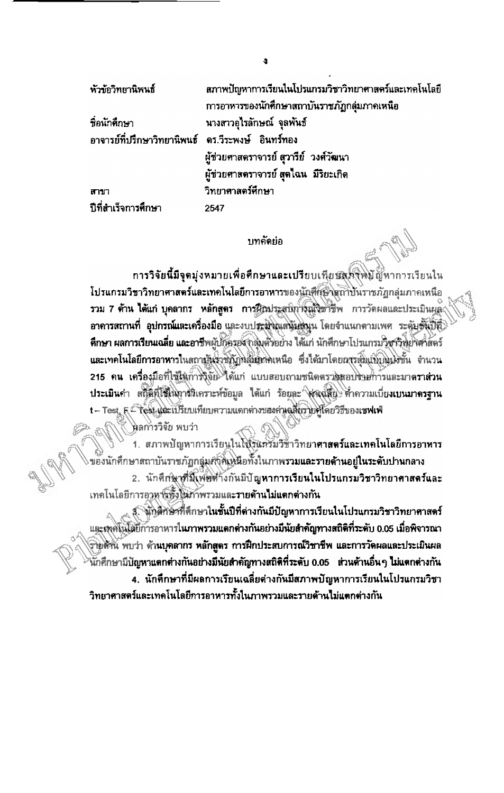สภาพปัญหาการเรียนในโปรแกรมวิชาวิทยาศาสตร์และเทคโนโลยี หัวข้อวิทยานิพนธ์ การอาหารของนักศึกษาสถาบันราชภัฏกลุ่มภาคเหนือ นางสาวอุไรลักษณ์ จุลพันธ์ ชื่อนักคือษา อาจารย์ที่ปรึกษาวิทยานิพนธ์ ดร.วีระพงษ์ อินทร์ทอง ผู้ช่วยศาสตราจารย์ สุวารีย์ วงศ์วัฒนา ผู้ช่วยศาลตราจารย์ สุดใฉน มีริยะเกิด วิทยาศาสตร์ศึกษา דורה ปีที่สำเร็จการศึกษา 2547

## บทคัดย่อ

ก**ารวิจัยนี้มีจุดมุ่งหมายเพื่อศึกษาและเปรีย**บเหีย*น*สุสพิมพิทาการเรียนใน โปรแกรมวิชาวิทยาศาสตร์และเทคโนโลยีการอาหารของนักศึกษาสถาบันราชภัฏกลุ่มภาคเหนือ รวม 7 ค้าน ได้แก่ บุคลากร หลักสูตร การฝึกประสบการณ์จิชาชีพ การวัดผลและประเมินผล อาคารสถานที่ อุปกรณ์และเครื่องมือ และงบประสิงคแสนับสนุน โดยจำแนกตามเพศ ระดับชั้นปีชี ทึกษา ผลการเรียนเฉลี่ย และอาชีพผู้ปฏิครุยสากสุ่มตั้งอย่าง ได้แก่ นักศึกษาโปรแกรมวิชาวิสัยวิศาสตร์ และเทคโนโลยีการอาหารในสถานังสถานักเสินอาคเหนือ ซึ่งใต้มาโดยการสุมแบบแห่งขั้น จำนวน 215 คน เครื่องมือที่ใช้ให้การจิจัย ได้แก่ แบบสอบถามชนิดตราชสอบรายการและมาตราส่วน ประเมินค่า สถิติที่ใช้ในการมิเคราะห์ข้อมูล ได้แก่ ร้อยละ ส่วนนี้สึย คำความเบี่ยงเบนมาตรฐาน t - Test, F - Test และเปรียบเทียบความแตกต่างของค่าเคลี้ยว เบคู่โดยวิธีของเชฟเฟ่

โมลการวิจัย พบว่า

้า. สภาพปัญหาการเรียนในโข้ริแกรมวิชาวิทยา**ศาสตร์และเทคโนโลยีการอาหาร** ขอั้งนักศึกษาสถาบันราชภัฏกลุ่มสกิติแน่นื่อทั้งในภาพร<mark>วมและรายด้านอยู่ในระดับปานกลาง</mark> 2. นักศึกษาที่มีเพิ่มต้างกันมีบัญหาการเรียนในโปรแกรมวิชาวิทยาศาสตร์และ เทคโนโลยีการอาหารทั้งในภาพรวมแล**ะรายด้านไม่แตกต่างกัน** 

3. นักศึกษาที่ตึกษาในชั้นปีที่ต่างกันมีปัญหาการเรียนในโปรแกรมวิชาวิทยาศาสตร์ แตะเทศโนโลยีการอาหารในภาพรวมแตกต่างกันอย่างมีนัยสำคัญทางสถิติที่ระดับ 0.05 เมื่อพิจารณา ราษศักร พบว่า ด้านบุคลากร หลักสูตร การฝึกประสบการณ์วิชาชีพ และการวัดผลและประเมินผล นักศึกษามีปัญหาแตกต่างกันอย่างมีนัยสำคัญทางสถิติที่ระดับ 0.05 ส่วนต้านอื่น ๆ ไม่แตกต่างกัน ่ 4. นักศึกษาที่มีผลการเรียนเฉลี่ยด่างกันมีสภาพปัญหาการเรียนในโปรแกรมวิชา วิทยาศาสตร์และเทคโนโลยีการอาหารทั้งในภาพรวมและรายด้านไม่แตกต่างกัน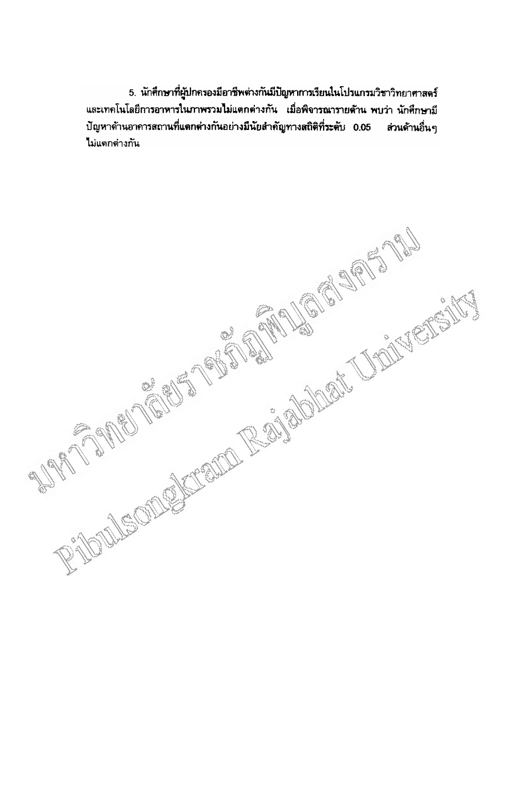5. นักศึกษาที่ผู้ปกครองมีอาชีพต่างกันมีปัญหาการเรียนในโปรแกรมวิชาวิทยาศาสตร์ และเทคโนโลยีการอาหารในภาพรวมไม่แตกต่างกัน เมื่อพิจารณารายด้าน พบว่า นักศึกษามี ปัญหาด้านอาคารสถานที่แดกต่างกันอย่างมีนัยสำคัญทางสถิติที่ระดับ 0.05 ล่วนด้านอื่นๆ ใม่แตกต่างกัน

Prided Company of the Company of the Company of the Company of the Company of the Company of the Company of the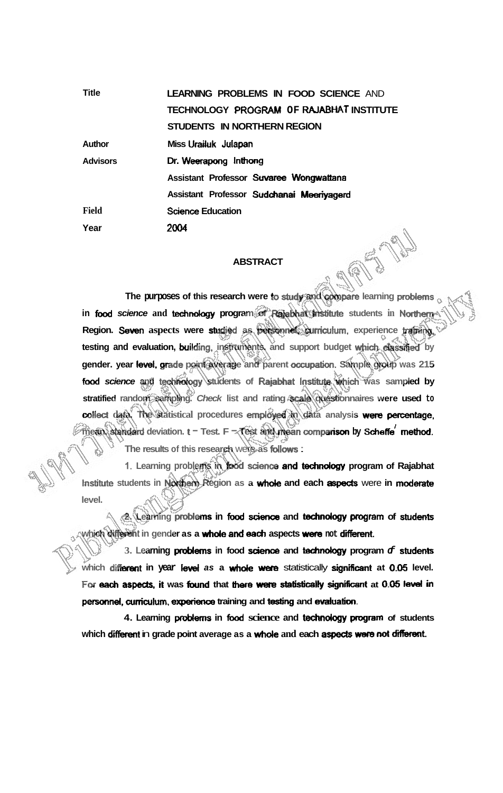| <b>Title</b>    | <b>LEARNING PROBLEMS IN FOOD SCIENCE AND</b> |
|-----------------|----------------------------------------------|
|                 | TECHNOLOGY PROGRAM OF RAJABHAT INSTITUTE     |
|                 | STUDENTS IN NORTHERN REGION                  |
| Author          | Miss Urailuk Julapan                         |
| <b>Advisors</b> | Dr. Weerapong Inthong                        |
|                 | Assistant Professor Suvaree Wongwattana      |
|                 | Assistant Professor Sudchanai Meeriyagerd    |
| Field           | Science Education                            |
| Year            | 2004                                         |

## **ABSTRACT**

ASA

**The purposes of this research were to study and mpare learning problems in food science and technology program of Rajabhat Institute students in Northern Region. Seven aspects were studied as personnel. Curriculum, experience tratining, and** testing and evaluation, building, instruments, and support budget which classified by gender. year level, grade point average and parent occupation. Sample group was 215 bod **science and techndogy students of Rajabhat Institute which was sampled by stratified random sampling. Check list and rating scale questionnaires were used to collect data.** The statistical procedures employed in data analysis were percentage,  $m$ ean. standard deviation.  $t$  - Test. F  $\prec$  (est and mean comparison by **Scheffe** method. **The results of this research** were **as fdlows** :

**1. Learning problems in** food **scim and techdogy program of Rajabhat**  Institute students in Northern Region as a whole and each aspects were in moderate **level.** 

**2. Learning problems in food scienoe and tdmdogy program of students**  which different in gender as a whole and each aspects were not different.

3. Learning problems in food science and technology program  $\sigma$  students which different in year level as a whole were statistically significant at 0.05 level. For each aspects, it was found that there were statistically significant at 0.05 level in personnel, curriculum, experience training and testing and evaluation.

**4. Learning pnbkms in** food **science and** technology **program of students**  which different in grade point average as a whole and each aspects were not different.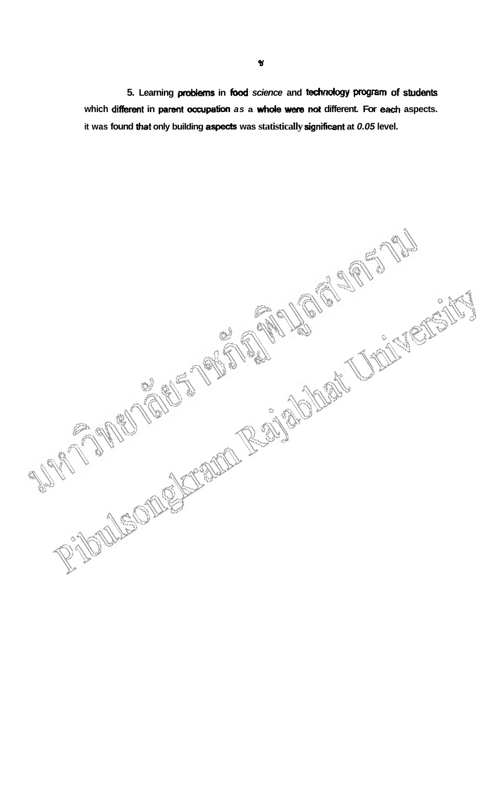**5. Learning praWems in** bod **science and technology program of students**  which different in parent occupation *as* a whole were not different. For each aspects. it was found that only building aspects was statistically significant at 0.05 level.

RIOULSONGECTION RECEIVED TO SANDARO TAN SERVENCE